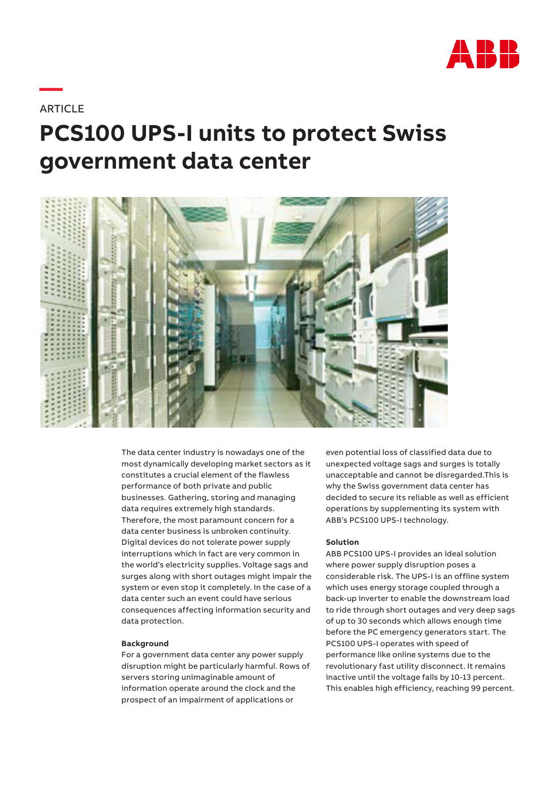

# **ARTICLE**

**—**

# **PCS100 UPS-I units to protect Swiss government data center**



The data center industry is nowadays one of the most dynamically developing market sectors as it constitutes a crucial element of the flawless performance of both private and public businesses. Gathering, storing and managing data requires extremely high standards. Therefore, the most paramount concern for a data center business is unbroken continuity. Digital devices do not tolerate power supply interruptions which in fact are very common in the world's electricity supplies. Voltage sags and surges along with short outages might impair the system or even stop it completely. In the case of a data center such an event could have serious consequences affecting information security and data protection.

#### **Background**

For a government data center any power supply disruption might be particularly harmful. Rows of servers storing unimaginable amount of information operate around the clock and the prospect of an impairment of applications or

even potential loss of classified data due to unexpected voltage sags and surges is totally unacceptable and cannot be disregarded.This is why the Swiss government data center has decided to secure its reliable as well as efficient operations by supplementing its system with ABB's PCS100 UPS-I technology.

### **Solution**

ABB PCS100 UPS-I provides an ideal solution where power supply disruption poses a considerable risk. The UPS-I is an offline system which uses energy storage coupled through a back-up inverter to enable the downstream load to ride through short outages and very deep sags of up to 30 seconds which allows enough time before the PC emergency generators start. The PCS100 UPS-I operates with speed of performance like online systems due to the revolutionary fast utility disconnect. It remains inactive until the voltage falls by 10-13 percent. This enables high efficiency, reaching 99 percent.